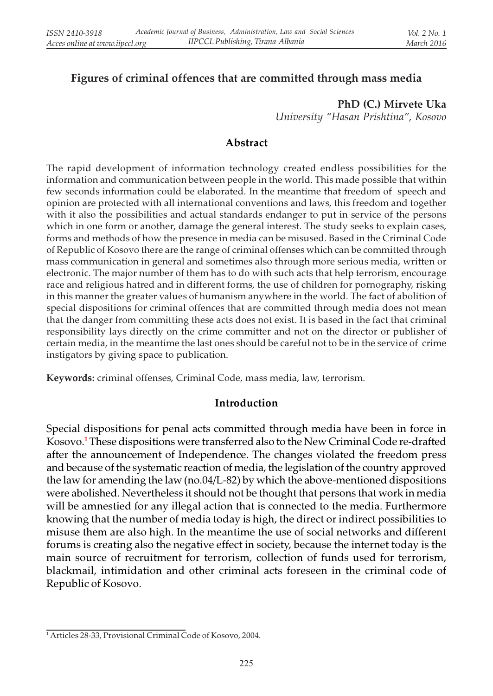### Figures of criminal offences that are committed through mass media

# PhD (C.) Mirvete Uka

University "Hasan Prishtina", Kosovo

### Abstract

The rapid development of information technology created endless possibilities for the information and communication between people in the world. This made possible that within few seconds information could be elaborated. In the meantime that freedom of speech and opinion are protected with all international conventions and laws, this freedom and together with it also the possibilities and actual standards endanger to put in service of the persons which in one form or another, damage the general interest. The study seeks to explain cases, forms and methods of how the presence in media can be misused. Based in the Criminal Code of Republic of Kosovo there are the range of criminal offenses which can be committed through mass communication in general and sometimes also through more serious media, written or electronic. The major number of them has to do with such acts that help terrorism, encourage race and religious hatred and in different forms, the use of children for pornography, risking in this manner the greater values of humanism anywhere in the world. The fact of abolition of special dispositions for criminal offences that are committed through media does not mean that the danger from committing these acts does not exist. It is based in the fact that criminal responsibility lays directly on the crime committer and not on the director or publisher of certain media, in the meantime the last ones should be careful not to be in the service of crime instigators by giving space to publication.

Keywords: criminal offenses, Criminal Code, mass media, law, terrorism.

### Introduction

Special dispositions for penal acts committed through media have been in force in Kosovo.<sup>1</sup> These dispositions were transferred also to the New Criminal Code re-drafted after the announcement of Independence. The changes violated the freedom press and because of the systematic reaction of media, the legislation of the country approved the law for amending the law (no.04/L-82) by which the above-mentioned dispositions were abolished. Nevertheless it should not be thought that persons that work in media will be amnestied for any illegal action that is connected to the media. Furthermore knowing that the number of media today is high, the direct or indirect possibilities to misuse them are also high. In the meantime the use of social networks and different forums is creating also the negative effect in society, because the internet today is the main source of recruitment for terrorism, collection of funds used for terrorism, blackmail, intimidation and other criminal acts foreseen in the criminal code of Republic of Kosovo.

<sup>1</sup> Articles 28-33, Provisional Criminal Code of Kosovo, 2004.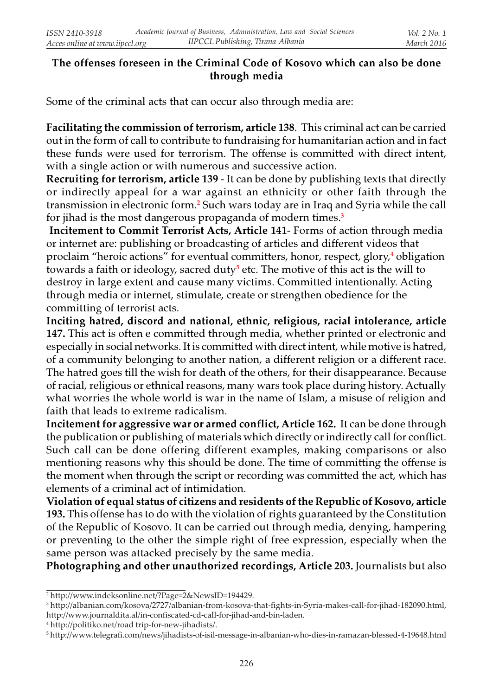# The offenses foreseen in the Criminal Code of Kosovo which can also be done through media

Some of the criminal acts that can occur also through media are:

Facilitating the commission of terrorism, article 138. This criminal act can be carried out in the form of call to contribute to fundraising for humanitarian action and in fact these funds were used for terrorism. The offense is committed with direct intent, with a single action or with numerous and successive action.

Recruiting for terrorism, article 139 - It can be done by publishing texts that directly or indirectly appeal for a war against an ethnicity or other faith through the transmission in electronic form.<sup>2</sup> Such wars today are in Iraq and Syria while the call for jihad is the most dangerous propaganda of modern times.<sup>3</sup>

Incitement to Commit Terrorist Acts, Article 141- Forms of action through media or internet are: publishing or broadcasting of articles and different videos that proclaim "heroic actions" for eventual committers, honor, respect, glory,<del>'</del> obligation towards a faith or ideology, sacred duty<sup>5</sup> etc. The motive of this act is the will to destroy in large extent and cause many victims. Committed intentionally. Acting through media or internet, stimulate, create or strengthen obedience for the committing of terrorist acts.

Inciting hatred, discord and national, ethnic, religious, racial intolerance, article 147. This act is often e committed through media, whether printed or electronic and especially in social networks. It is committed with direct intent, while motive is hatred, of a community belonging to another nation, a different religion or a different race. The hatred goes till the wish for death of the others, for their disappearance. Because of racial, religious or ethnical reasons, many wars took place during history. Actually what worries the whole world is war in the name of Islam, a misuse of religion and faith that leads to extreme radicalism.

Incitement for aggressive war or armed conflict, Article 162. It can be done through the publication or publishing of materials which directly or indirectly call for conflict. Such call can be done offering different examples, making comparisons or also mentioning reasons why this should be done. The time of committing the offense is the moment when through the script or recording was committed the act, which has elements of a criminal act of intimidation.

Violation of equal status of citizens and residents of the Republic of Kosovo, article 193. This offense has to do with the violation of rights guaranteed by the Constitution of the Republic of Kosovo. It can be carried out through media, denying, hampering or preventing to the other the simple right of free expression, especially when the same person was attacked precisely by the same media.

Photographing and other unauthorized recordings, Article 203. Journalists but also

<sup>2</sup> http://www.indeksonline.net/?Page=2&NewsID=194429.

<sup>3</sup> http://albanian.com/kosova/2727/albanian-from-kosova-that-fights-in-Syria-makes-call-for-jihad-182090.html, http://www.journaldita.al/in-confiscated-cd-call-for-jihad-and-bin-laden.

<sup>4</sup> http://politiko.net/road trip-for-new-jihadists/.

<sup>5</sup> http://www.telegrafi.com/news/jihadists-of-isil-message-in-albanian-who-dies-in-ramazan-blessed-4-19648.html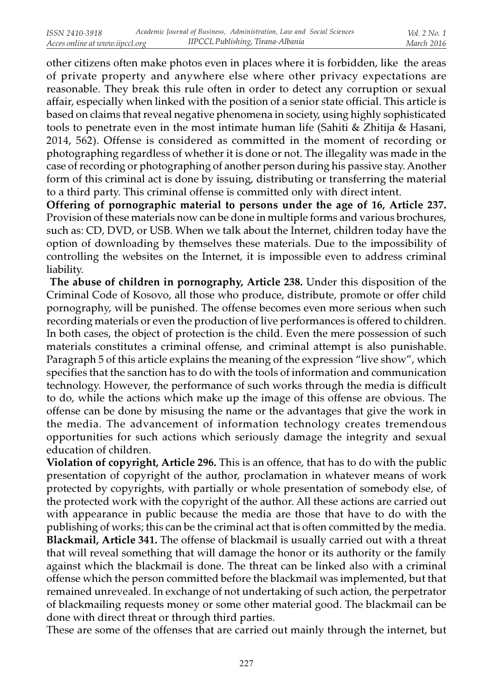other citizens often make photos even in places where it is forbidden, like the areas of private property and anywhere else where other privacy expectations are reasonable. They break this rule often in order to detect any corruption or sexual affair, especially when linked with the position of a senior state official. This article is based on claims that reveal negative phenomena in society, using highly sophisticated tools to penetrate even in the most intimate human life (Sahiti & Zhitija & Hasani, 2014, 562). Offense is considered as committed in the moment of recording or photographing regardless of whether it is done or not. The illegality was made in the case of recording or photographing of another person during his passive stay. Another form of this criminal act is done by issuing, distributing or transferring the material to a third party. This criminal offense is committed only with direct intent.

Offering of pornographic material to persons under the age of 16, Article 237. Provision of these materials now can be done in multiple forms and various brochures, such as: CD, DVD, or USB. When we talk about the Internet, children today have the option of downloading by themselves these materials. Due to the impossibility of controlling the websites on the Internet, it is impossible even to address criminal liability.

 The abuse of children in pornography, Article 238. Under this disposition of the Criminal Code of Kosovo, all those who produce, distribute, promote or offer child pornography, will be punished. The offense becomes even more serious when such recording materials or even the production of live performances is offered to children. In both cases, the object of protection is the child. Even the mere possession of such materials constitutes a criminal offense, and criminal attempt is also punishable. Paragraph 5 of this article explains the meaning of the expression "live show", which specifies that the sanction has to do with the tools of information and communication technology. However, the performance of such works through the media is difficult to do, while the actions which make up the image of this offense are obvious. The offense can be done by misusing the name or the advantages that give the work in the media. The advancement of information technology creates tremendous opportunities for such actions which seriously damage the integrity and sexual education of children.

Violation of copyright, Article 296. This is an offence, that has to do with the public presentation of copyright of the author, proclamation in whatever means of work protected by copyrights, with partially or whole presentation of somebody else, of the protected work with the copyright of the author. All these actions are carried out with appearance in public because the media are those that have to do with the publishing of works; this can be the criminal act that is often committed by the media. Blackmail, Article 341. The offense of blackmail is usually carried out with a threat that will reveal something that will damage the honor or its authority or the family against which the blackmail is done. The threat can be linked also with a criminal offense which the person committed before the blackmail was implemented, but that remained unrevealed. In exchange of not undertaking of such action, the perpetrator of blackmailing requests money or some other material good. The blackmail can be done with direct threat or through third parties.

These are some of the offenses that are carried out mainly through the internet, but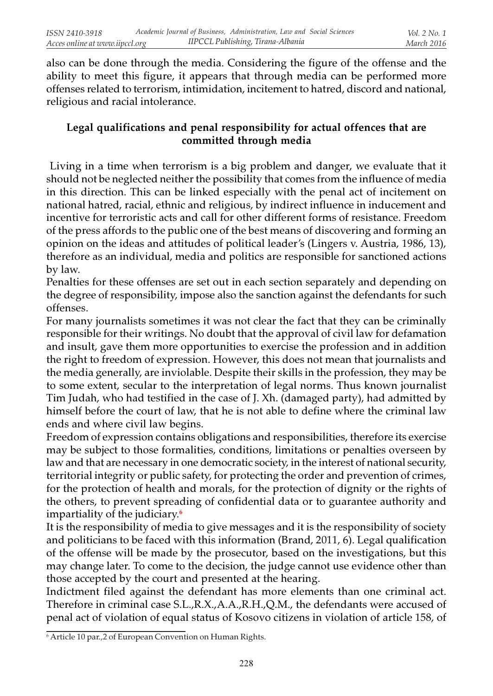also can be done through the media. Considering the figure of the offense and the ability to meet this figure, it appears that through media can be performed more offenses related to terrorism, intimidation, incitement to hatred, discord and national, religious and racial intolerance.

# Legal qualifications and penal responsibility for actual offences that are committed through media

 Living in a time when terrorism is a big problem and danger, we evaluate that it should not be neglected neither the possibility that comes from the influence of media in this direction. This can be linked especially with the penal act of incitement on national hatred, racial, ethnic and religious, by indirect influence in inducement and incentive for terroristic acts and call for other different forms of resistance. Freedom of the press affords to the public one of the best means of discovering and forming an opinion on the ideas and attitudes of political leader's (Lingers v. Austria, 1986, 13), therefore as an individual, media and politics are responsible for sanctioned actions by law.

Penalties for these offenses are set out in each section separately and depending on the degree of responsibility, impose also the sanction against the defendants for such offenses.

For many journalists sometimes it was not clear the fact that they can be criminally responsible for their writings. No doubt that the approval of civil law for defamation and insult, gave them more opportunities to exercise the profession and in addition the right to freedom of expression. However, this does not mean that journalists and the media generally, are inviolable. Despite their skills in the profession, they may be to some extent, secular to the interpretation of legal norms. Thus known journalist Tim Judah, who had testified in the case of J. Xh. (damaged party), had admitted by himself before the court of law, that he is not able to define where the criminal law ends and where civil law begins.

Freedom of expression contains obligations and responsibilities, therefore its exercise may be subject to those formalities, conditions, limitations or penalties overseen by law and that are necessary in one democratic society, in the interest of national security, territorial integrity or public safety, for protecting the order and prevention of crimes, for the protection of health and morals, for the protection of dignity or the rights of the others, to prevent spreading of confidential data or to guarantee authority and impartiality of the judiciary.<sup>6</sup>

It is the responsibility of media to give messages and it is the responsibility of society and politicians to be faced with this information (Brand, 2011, 6). Legal qualification of the offense will be made by the prosecutor, based on the investigations, but this may change later. To come to the decision, the judge cannot use evidence other than those accepted by the court and presented at the hearing.

Indictment filed against the defendant has more elements than one criminal act. Therefore in criminal case S.L.,R.X.,A.A.,R.H.,Q.M., the defendants were accused of penal act of violation of equal status of Kosovo citizens in violation of article 158, of

<sup>6</sup> Article 10 par.,2 of European Convention on Human Rights.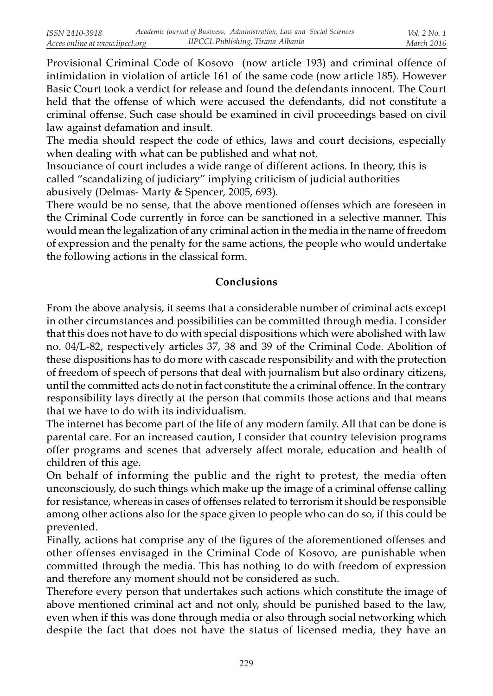Provisional Criminal Code of Kosovo (now article 193) and criminal offence of intimidation in violation of article 161 of the same code (now article 185). However Basic Court took a verdict for release and found the defendants innocent. The Court held that the offense of which were accused the defendants, did not constitute a criminal offense. Such case should be examined in civil proceedings based on civil law against defamation and insult.

The media should respect the code of ethics, laws and court decisions, especially when dealing with what can be published and what not.

Insouciance of court includes a wide range of different actions. In theory, this is called "scandalizing of judiciary" implying criticism of judicial authorities abusively (Delmas- Marty & Spencer, 2005, 693).

There would be no sense, that the above mentioned offenses which are foreseen in the Criminal Code currently in force can be sanctioned in a selective manner. This would mean the legalization of any criminal action in the media in the name of freedom of expression and the penalty for the same actions, the people who would undertake the following actions in the classical form.

### Conclusions

From the above analysis, it seems that a considerable number of criminal acts except in other circumstances and possibilities can be committed through media. I consider that this does not have to do with special dispositions which were abolished with law no. 04/L-82, respectively articles 37, 38 and 39 of the Criminal Code. Abolition of these dispositions has to do more with cascade responsibility and with the protection of freedom of speech of persons that deal with journalism but also ordinary citizens, until the committed acts do not in fact constitute the a criminal offence. In the contrary responsibility lays directly at the person that commits those actions and that means that we have to do with its individualism.

The internet has become part of the life of any modern family. All that can be done is parental care. For an increased caution, I consider that country television programs offer programs and scenes that adversely affect morale, education and health of children of this age.

On behalf of informing the public and the right to protest, the media often unconsciously, do such things which make up the image of a criminal offense calling for resistance, whereas in cases of offenses related to terrorism it should be responsible among other actions also for the space given to people who can do so, if this could be prevented.

Finally, actions hat comprise any of the figures of the aforementioned offenses and other offenses envisaged in the Criminal Code of Kosovo, are punishable when committed through the media. This has nothing to do with freedom of expression and therefore any moment should not be considered as such.

Therefore every person that undertakes such actions which constitute the image of above mentioned criminal act and not only, should be punished based to the law, even when if this was done through media or also through social networking which despite the fact that does not have the status of licensed media, they have an